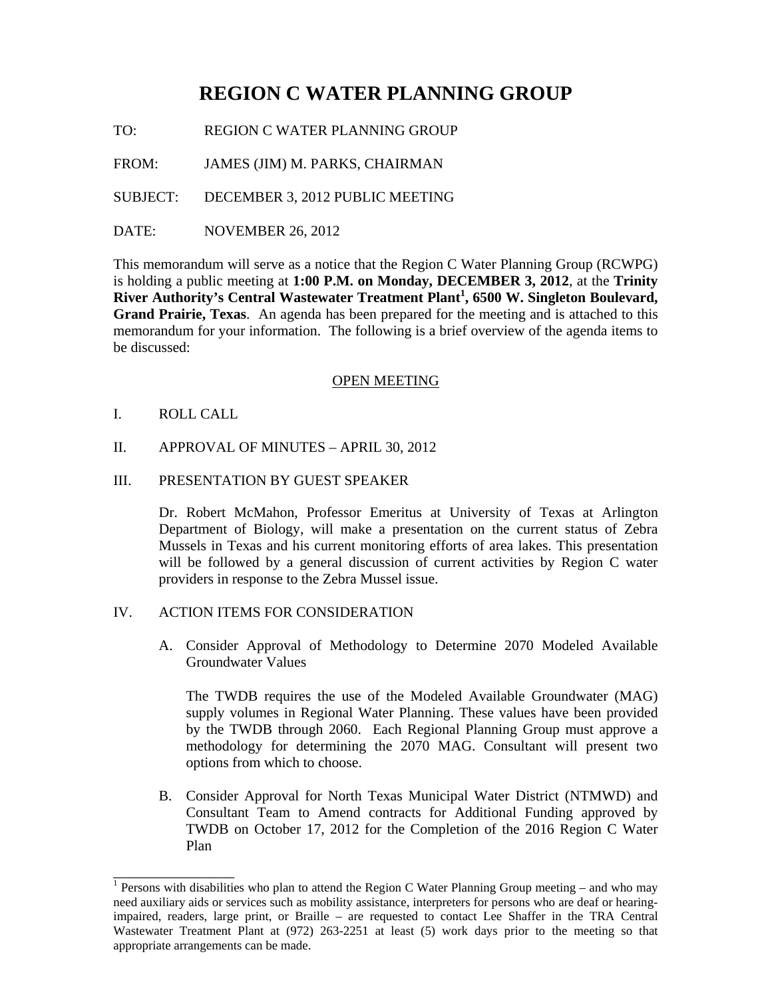# **REGION C WATER PLANNING GROUP**

TO: REGION C WATER PLANNING GROUP

FROM: JAMES (JIM) M. PARKS, CHAIRMAN

SUBJECT: DECEMBER 3, 2012 PUBLIC MEETING

DATE: NOVEMBER 26, 2012

This memorandum will serve as a notice that the Region C Water Planning Group (RCWPG) is holding a public meeting at **1:00 P.M. on Monday, DECEMBER 3, 2012**, at the **Trinity River Authority's Central Wastewater Treatment Plant<sup>1</sup> , 6500 W. Singleton Boulevard, Grand Prairie, Texas**. An agenda has been prepared for the meeting and is attached to this memorandum for your information. The following is a brief overview of the agenda items to be discussed:

## OPEN MEETING

I. ROLL CALL

\_\_\_\_\_\_\_\_\_\_\_\_\_\_\_\_

II. APPROVAL OF MINUTES – APRIL 30, 2012

## III. PRESENTATION BY GUEST SPEAKER

Dr. Robert McMahon, Professor Emeritus at University of Texas at Arlington Department of Biology, will make a presentation on the current status of Zebra Mussels in Texas and his current monitoring efforts of area lakes. This presentation will be followed by a general discussion of current activities by Region C water providers in response to the Zebra Mussel issue.

# IV. ACTION ITEMS FOR CONSIDERATION

A. Consider Approval of Methodology to Determine 2070 Modeled Available Groundwater Values

The TWDB requires the use of the Modeled Available Groundwater (MAG) supply volumes in Regional Water Planning. These values have been provided by the TWDB through 2060. Each Regional Planning Group must approve a methodology for determining the 2070 MAG. Consultant will present two options from which to choose.

B. Consider Approval for North Texas Municipal Water District (NTMWD) and Consultant Team to Amend contracts for Additional Funding approved by TWDB on October 17, 2012 for the Completion of the 2016 Region C Water Plan

<sup>&</sup>lt;sup>1</sup> Persons with disabilities who plan to attend the Region C Water Planning Group meeting – and who may need auxiliary aids or services such as mobility assistance, interpreters for persons who are deaf or hearingimpaired, readers, large print, or Braille – are requested to contact Lee Shaffer in the TRA Central Wastewater Treatment Plant at (972) 263-2251 at least (5) work days prior to the meeting so that appropriate arrangements can be made.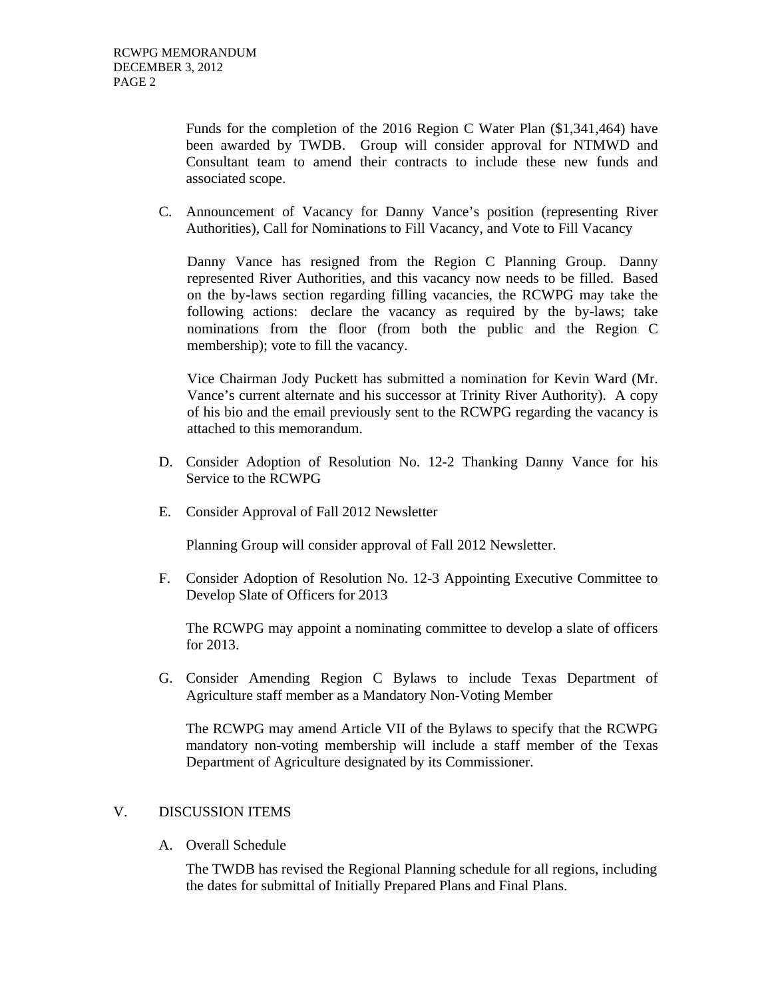Funds for the completion of the 2016 Region C Water Plan (\$1,341,464) have been awarded by TWDB. Group will consider approval for NTMWD and Consultant team to amend their contracts to include these new funds and associated scope.

C. Announcement of Vacancy for Danny Vance's position (representing River Authorities), Call for Nominations to Fill Vacancy, and Vote to Fill Vacancy

Danny Vance has resigned from the Region C Planning Group. Danny represented River Authorities, and this vacancy now needs to be filled. Based on the by-laws section regarding filling vacancies, the RCWPG may take the following actions: declare the vacancy as required by the by-laws; take nominations from the floor (from both the public and the Region C membership); vote to fill the vacancy.

Vice Chairman Jody Puckett has submitted a nomination for Kevin Ward (Mr. Vance's current alternate and his successor at Trinity River Authority). A copy of his bio and the email previously sent to the RCWPG regarding the vacancy is attached to this memorandum.

- D. Consider Adoption of Resolution No. 12-2 Thanking Danny Vance for his Service to the RCWPG
- E. Consider Approval of Fall 2012 Newsletter

Planning Group will consider approval of Fall 2012 Newsletter.

F. Consider Adoption of Resolution No. 12-3 Appointing Executive Committee to Develop Slate of Officers for 2013

The RCWPG may appoint a nominating committee to develop a slate of officers for 2013.

G. Consider Amending Region C Bylaws to include Texas Department of Agriculture staff member as a Mandatory Non-Voting Member

The RCWPG may amend Article VII of the Bylaws to specify that the RCWPG mandatory non-voting membership will include a staff member of the Texas Department of Agriculture designated by its Commissioner.

#### V. DISCUSSION ITEMS

A. Overall Schedule

The TWDB has revised the Regional Planning schedule for all regions, including the dates for submittal of Initially Prepared Plans and Final Plans.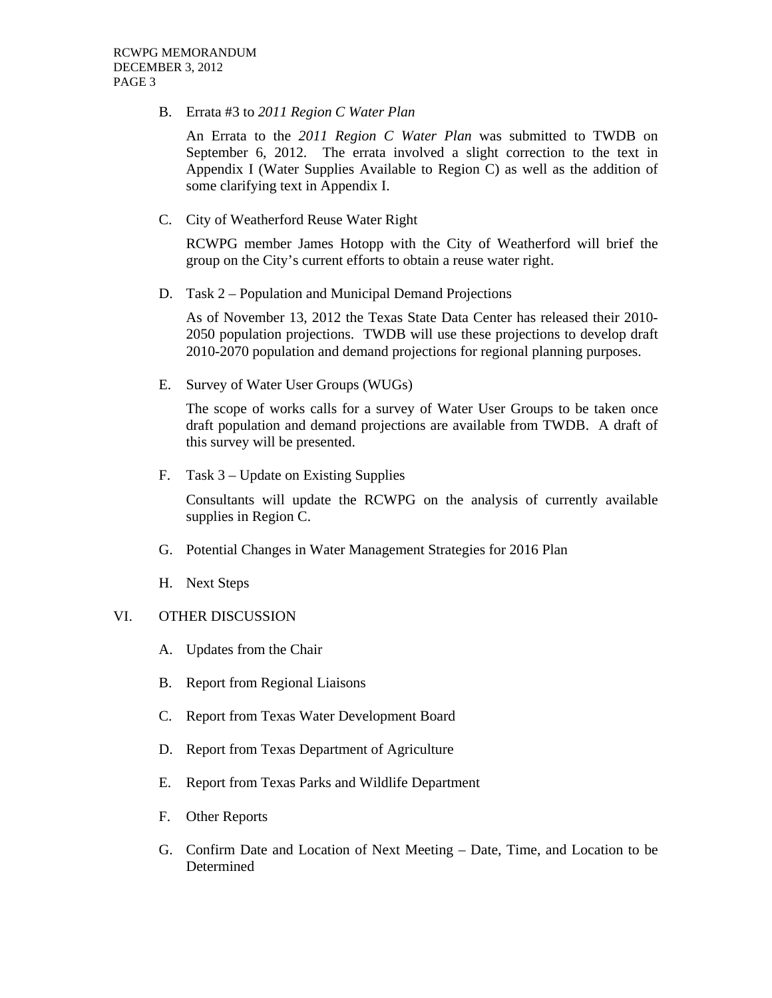B. Errata #3 to *2011 Region C Water Plan*

An Errata to the *2011 Region C Water Plan* was submitted to TWDB on September 6, 2012. The errata involved a slight correction to the text in Appendix I (Water Supplies Available to Region C) as well as the addition of some clarifying text in Appendix I.

C. City of Weatherford Reuse Water Right

RCWPG member James Hotopp with the City of Weatherford will brief the group on the City's current efforts to obtain a reuse water right.

D. Task 2 – Population and Municipal Demand Projections

As of November 13, 2012 the Texas State Data Center has released their 2010- 2050 population projections. TWDB will use these projections to develop draft 2010-2070 population and demand projections for regional planning purposes.

E. Survey of Water User Groups (WUGs)

The scope of works calls for a survey of Water User Groups to be taken once draft population and demand projections are available from TWDB. A draft of this survey will be presented.

F. Task 3 – Update on Existing Supplies

Consultants will update the RCWPG on the analysis of currently available supplies in Region C.

- G. Potential Changes in Water Management Strategies for 2016 Plan
- H. Next Steps

# VI. OTHER DISCUSSION

- A. Updates from the Chair
- B. Report from Regional Liaisons
- C. Report from Texas Water Development Board
- D. Report from Texas Department of Agriculture
- E. Report from Texas Parks and Wildlife Department
- F. Other Reports
- G. Confirm Date and Location of Next Meeting Date, Time, and Location to be Determined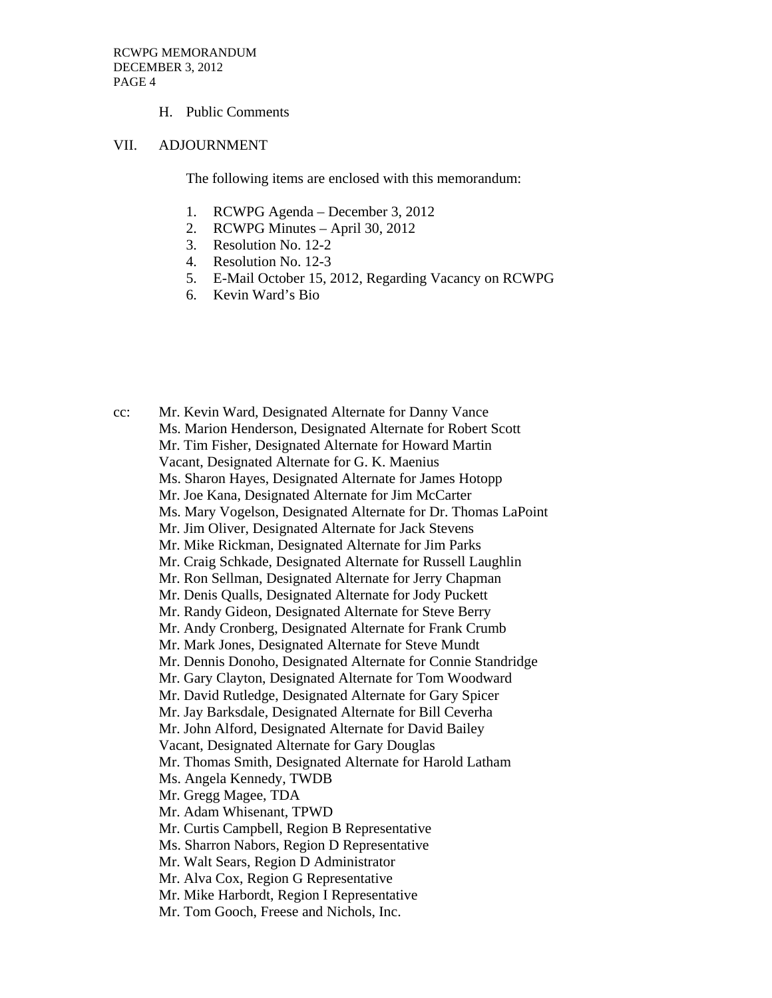#### H. Public Comments

#### VII. ADJOURNMENT

The following items are enclosed with this memorandum:

- 1. RCWPG Agenda December 3, 2012
- 2. RCWPG Minutes April 30, 2012
- 3. Resolution No. 12-2
- 4. Resolution No. 12-3
- 5. E-Mail October 15, 2012, Regarding Vacancy on RCWPG
- 6. Kevin Ward's Bio

cc: Mr. Kevin Ward, Designated Alternate for Danny Vance Ms. Marion Henderson, Designated Alternate for Robert Scott Mr. Tim Fisher, Designated Alternate for Howard Martin Vacant, Designated Alternate for G. K. Maenius Ms. Sharon Hayes, Designated Alternate for James Hotopp Mr. Joe Kana, Designated Alternate for Jim McCarter Ms. Mary Vogelson, Designated Alternate for Dr. Thomas LaPoint Mr. Jim Oliver, Designated Alternate for Jack Stevens Mr. Mike Rickman, Designated Alternate for Jim Parks Mr. Craig Schkade, Designated Alternate for Russell Laughlin Mr. Ron Sellman, Designated Alternate for Jerry Chapman Mr. Denis Qualls, Designated Alternate for Jody Puckett Mr. Randy Gideon, Designated Alternate for Steve Berry Mr. Andy Cronberg, Designated Alternate for Frank Crumb Mr. Mark Jones, Designated Alternate for Steve Mundt Mr. Dennis Donoho, Designated Alternate for Connie Standridge Mr. Gary Clayton, Designated Alternate for Tom Woodward Mr. David Rutledge, Designated Alternate for Gary Spicer Mr. Jay Barksdale, Designated Alternate for Bill Ceverha Mr. John Alford, Designated Alternate for David Bailey Vacant, Designated Alternate for Gary Douglas Mr. Thomas Smith, Designated Alternate for Harold Latham Ms. Angela Kennedy, TWDB Mr. Gregg Magee, TDA Mr. Adam Whisenant, TPWD Mr. Curtis Campbell, Region B Representative Ms. Sharron Nabors, Region D Representative Mr. Walt Sears, Region D Administrator Mr. Alva Cox, Region G Representative Mr. Mike Harbordt, Region I Representative Mr. Tom Gooch, Freese and Nichols, Inc.